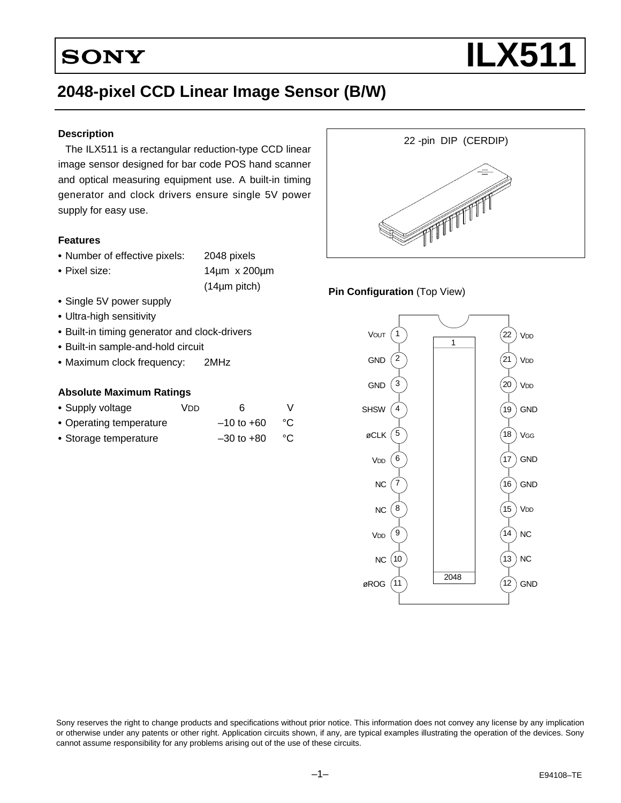# **2048-pixel CCD Linear Image Sensor (B/W)**

#### **Description**

The ILX511 is a rectangular reduction-type CCD linear image sensor designed for bar code POS hand scanner and optical measuring equipment use. A built-in timing generator and clock drivers ensure single 5V power supply for easy use.

#### **Features**

- **•** Number of effective pixels: 2048 pixels
- **•** Pixel size: 14µm x 200µm

(14µm pitch)

- **•** Single 5V power supply
- **•** Ultra-high sensitivity
- **•** Built-in timing generator and clock-drivers
- **•** Built-in sample-and-hold circuit
- **•** Maximum clock frequency: 2MHz

#### **Absolute Maximum Ratings**

| • Supply voltage        | Vnn | 6              |    |
|-------------------------|-----|----------------|----|
| • Operating temperature |     | $-10$ to $+60$ | °C |
| • Storage temperature   |     | $-30$ to $+80$ | °C |



#### **Pin Configuration** (Top View)



Sony reserves the right to change products and specifications without prior notice. This information does not convey any license by any implication or otherwise under any patents or other right. Application circuits shown, if any, are typical examples illustrating the operation of the devices. Sony cannot assume responsibility for any problems arising out of the use of these circuits.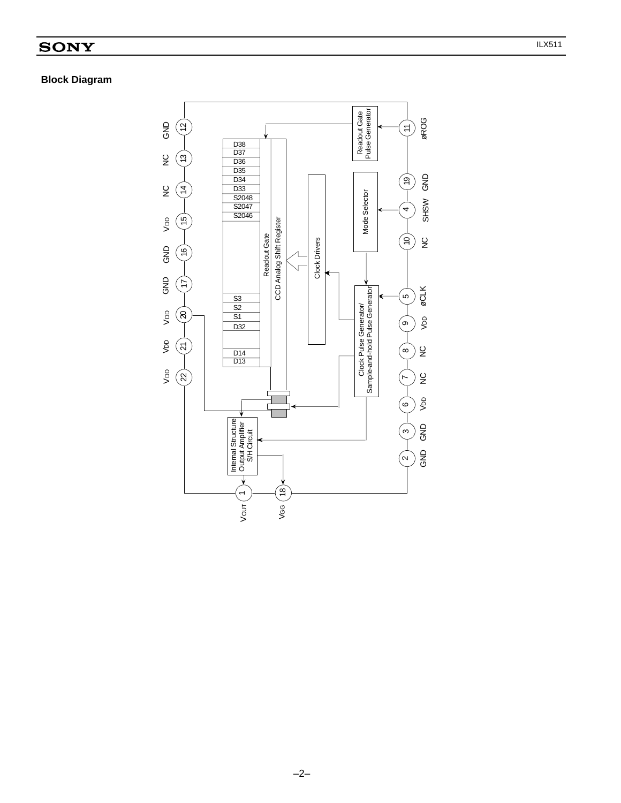# **Block Diagram**

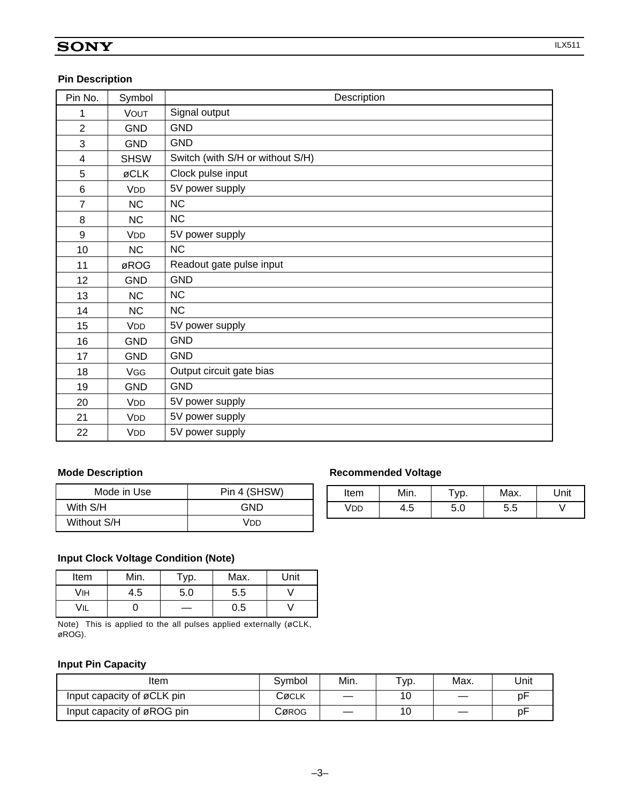#### **Pin Description**

| Pin No.        | Symbol      | Description                      |
|----------------|-------------|----------------------------------|
| 1              | <b>VOUT</b> | Signal output                    |
| $\overline{2}$ | <b>GND</b>  | <b>GND</b>                       |
| 3              | <b>GND</b>  | <b>GND</b>                       |
| 4              | <b>SHSW</b> | Switch (with S/H or without S/H) |
| 5              | øCLK        | Clock pulse input                |
| 6              | <b>VDD</b>  | 5V power supply                  |
| $\overline{7}$ | NC          | <b>NC</b>                        |
| 8              | NC          | NC                               |
| 9              | <b>VDD</b>  | 5V power supply                  |
| 10             | NC          | NC                               |
| 11             | øROG        | Readout gate pulse input         |
| 12             | <b>GND</b>  | <b>GND</b>                       |
| 13             | <b>NC</b>   | <b>NC</b>                        |
| 14             | <b>NC</b>   | <b>NC</b>                        |
| 15             | <b>VDD</b>  | 5V power supply                  |
| 16             | <b>GND</b>  | <b>GND</b>                       |
| 17             | <b>GND</b>  | <b>GND</b>                       |
| 18             | <b>VGG</b>  | Output circuit gate bias         |
| 19             | <b>GND</b>  | <b>GND</b>                       |
| 20             | <b>VDD</b>  | 5V power supply                  |
| 21             | <b>VDD</b>  | 5V power supply                  |
| 22             | <b>VDD</b>  | 5V power supply                  |

| Mode in Use | Pin 4 (SHSW) |
|-------------|--------------|
| With S/H    | GND          |
| Without S/H | Vnn          |

#### **Mode Description Recommended Voltage**

| Item           | Min. | VD. | Max. | Unit |
|----------------|------|-----|------|------|
| $^{\prime}$ DD | 4.5  | 5.U | 5.5  |      |

#### **Input Clock Voltage Condition (Note)**

| Item | Min. | $\tau_{\text{VD}}$ . | Max. | Unit |
|------|------|----------------------|------|------|
| VIH  | 4.5  | 5.0                  | 5.5  |      |
| VIL  |      |                      | 0.5  |      |

Note) This is applied to the all pulses applied externally (øCLK, øROG).

#### **Input Pin Capacity**

| Item                       | Svmbol | Min. | $\tau_{\text{VP}}$ . | Max. | Unit |
|----------------------------|--------|------|----------------------|------|------|
| Input capacity of øCLK pin | Cøclk  |      | 10                   |      | рF   |
| Input capacity of øROG pin | Cørog  |      | 10                   |      | рF   |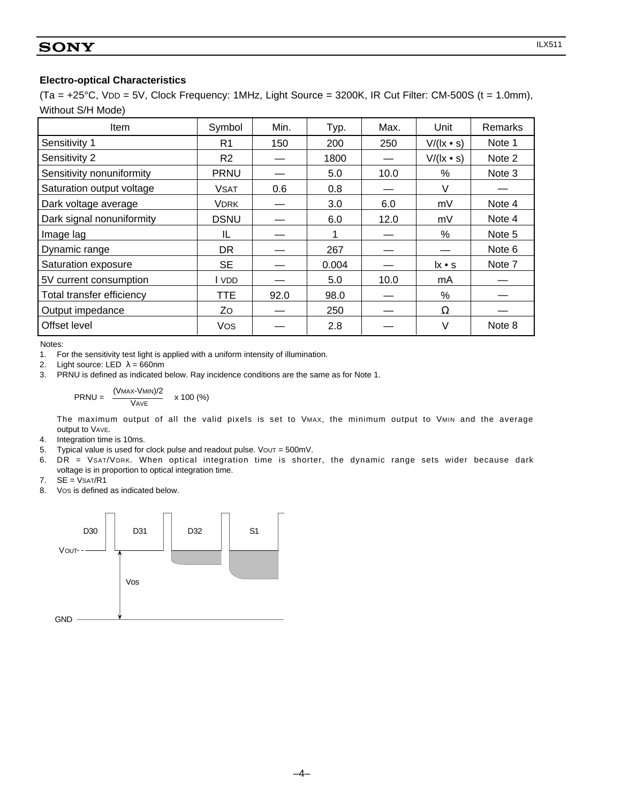(Ta = +25°C, VDD = 5V, Clock Frequency: 1MHz, Light Source = 3200K, IR Cut Filter: CM-500S (t = 1.0mm), Without S/H Mode)

| Item                      | Symbol         | Min. | Typ.  | Max. | Unit                                       | Remarks |
|---------------------------|----------------|------|-------|------|--------------------------------------------|---------|
| Sensitivity 1             | R <sub>1</sub> | 150  | 200   | 250  | $V/(l x \cdot s)$                          | Note 1  |
| Sensitivity 2             | R <sub>2</sub> |      | 1800  |      | $V/(l x \cdot s)$                          | Note 2  |
| Sensitivity nonuniformity | <b>PRNU</b>    |      | 5.0   | 10.0 | $\%$                                       | Note 3  |
| Saturation output voltage | <b>VSAT</b>    | 0.6  | 0.8   |      | V                                          |         |
| Dark voltage average      | VDRK           |      | 3.0   | 6.0  | mV                                         | Note 4  |
| Dark signal nonuniformity | <b>DSNU</b>    |      | 6.0   | 12.0 | mV                                         | Note 4  |
| Image lag                 | IL             |      | 1     |      | $\%$                                       | Note 5  |
| Dynamic range             | <b>DR</b>      |      | 267   |      |                                            | Note 6  |
| Saturation exposure       | <b>SE</b>      |      | 0.004 |      | $\mathsf{I} \mathsf{x} \bullet \mathsf{s}$ | Note 7  |
| 5V current consumption    | l vdd          |      | 5.0   | 10.0 | mA                                         |         |
| Total transfer efficiency | TTE            | 92.0 | 98.0  |      | %                                          |         |
| Output impedance          | Zo             |      | 250   |      | Ω                                          |         |
| Offset level              | <b>Vos</b>     |      | 2.8   |      | V                                          | Note 8  |

Notes:

1. For the sensitivity test light is applied with a uniform intensity of illumination.

2. Light source: LED  $\lambda = 660$ nm

3. PRNU is defined as indicated below. Ray incidence conditions are the same as for Note 1.

$$
PRNU = \frac{(VMAX-VMIN)/2}{VAVE} \times 100\ (%)
$$

The maximum output of all the valid pixels is set to VMAX, the minimum output to VMIN and the average output to VAVE.

- 4. Integration time is 10ms.
- 5. Typical value is used for clock pulse and readout pulse. Vout =  $500$ mV.
- 6. DR = VSAT/VDRK. When optical integration time is shorter, the dynamic range sets wider because dark voltage is in proportion to optical integration time.
- $7.$  SE = VSAT/R1
- 8. VOS is defined as indicated below.

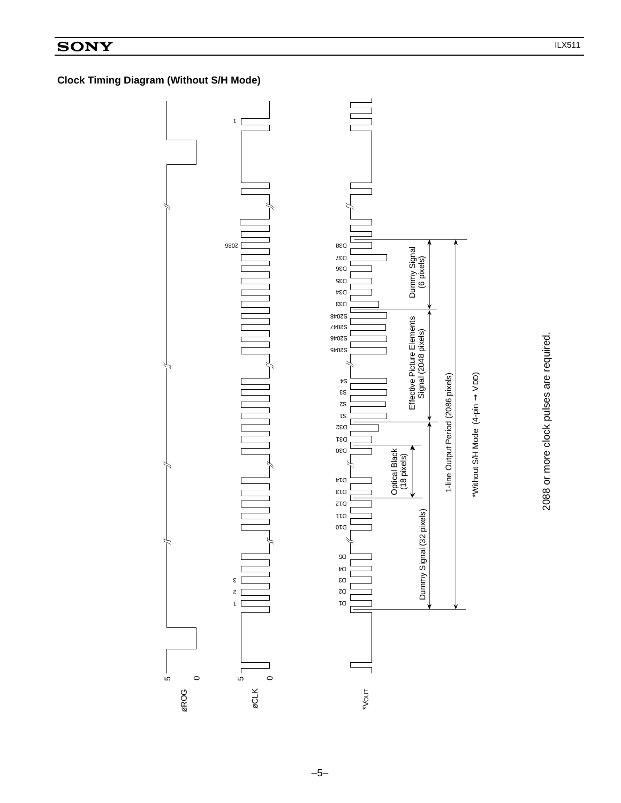# **Clock Timing Diagram (Without S/H Mode)**

Ю



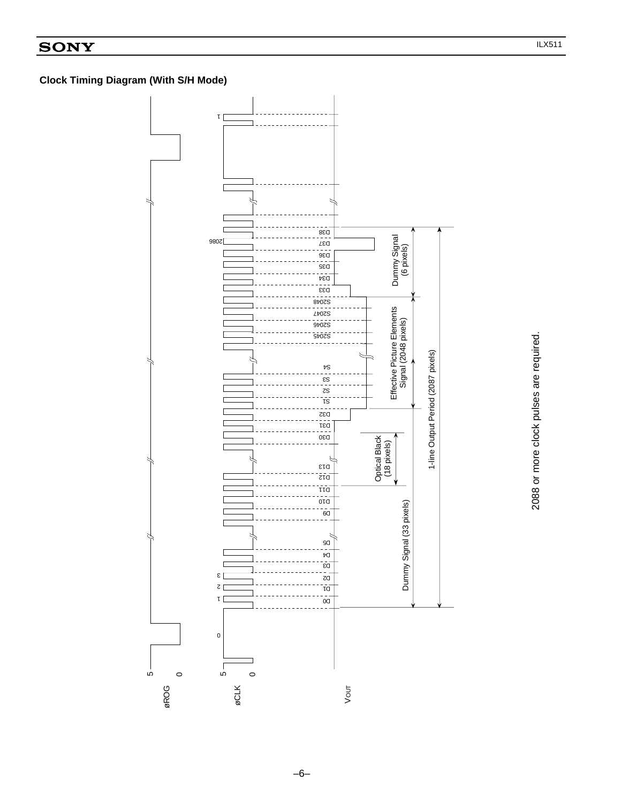# **Clock Timing Diagram (With S/H Mode)**



2088 or more clock pulses are required.

2088 or more clock pulses are required.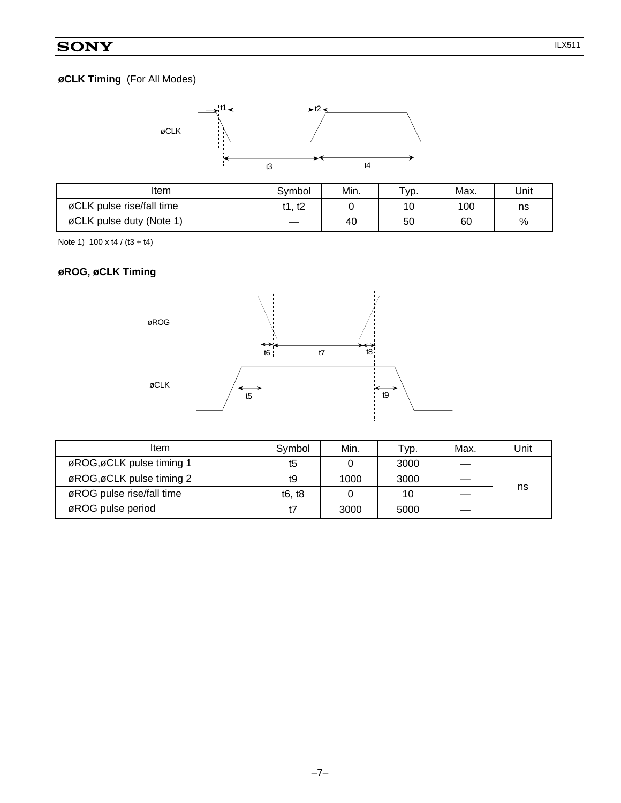# **øCLK Timing** (For All Modes)



| Item                      | Svmbol | Min. | Typ. | Max. | Unit |
|---------------------------|--------|------|------|------|------|
| øCLK pulse rise/fall time | t1. t2 |      | 10   | 100  | ns   |
| øCLK pulse duty (Note 1)  |        | 40   | 50   | 60   | %    |

Note 1)  $100 \times 14 / (13 + 14)$ 

# **øROG, øCLK Timing**



| Item                      | Symbol | Min. | ⊤ур. | Max. | Unit |
|---------------------------|--------|------|------|------|------|
| øROG, øCLK pulse timing 1 | t5     |      | 3000 |      |      |
| øROG, øCLK pulse timing 2 | t9     | 1000 | 3000 |      |      |
| øROG pulse rise/fall time | t6, t8 |      | 10   |      | ns   |
| øROG pulse period         |        | 3000 | 5000 |      |      |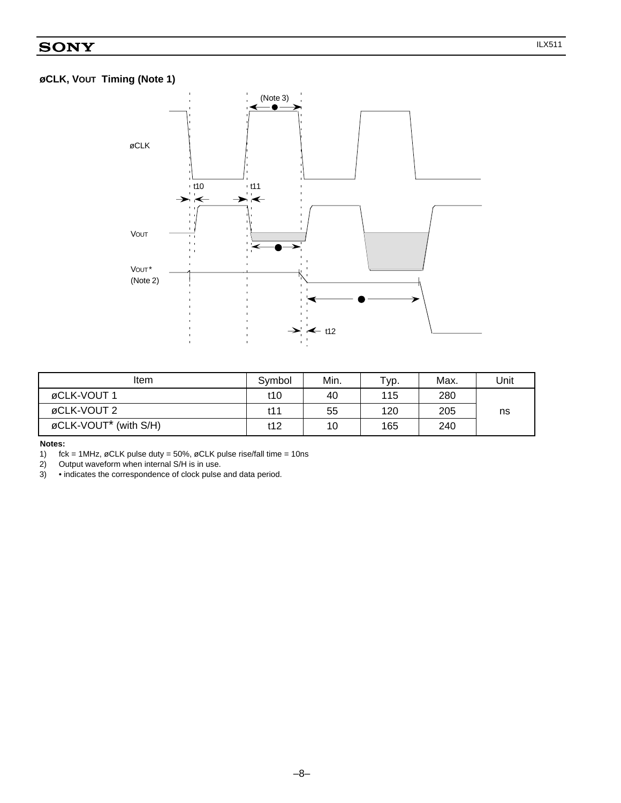# **øCLK, VOUT Timing (Note 1)**



| ltem                              | Symbol | Min. | Typ. | Max. | Unit |
|-----------------------------------|--------|------|------|------|------|
| øCLK-VOUT 1                       | t10    | 40   | 115  | 280  |      |
| øCLK-VOUT 2                       | t11    | 55   | 120  | 205  | ns   |
| øCLK-VOUT <sup>*</sup> (with S/H) | t12    | 10   | 165  | 240  |      |

**Notes:**

1)  $\text{fck} = 1\text{MHz}$ ,  $\phi$ CLK pulse duty = 50%,  $\phi$ CLK pulse rise/fall time = 10ns<br>2) Output waveform when internal S/H is in use.

2) Output waveform when internal S/H is in use.<br>3) • indicates the correspondence of clock pulse

3) • indicates the correspondence of clock pulse and data period.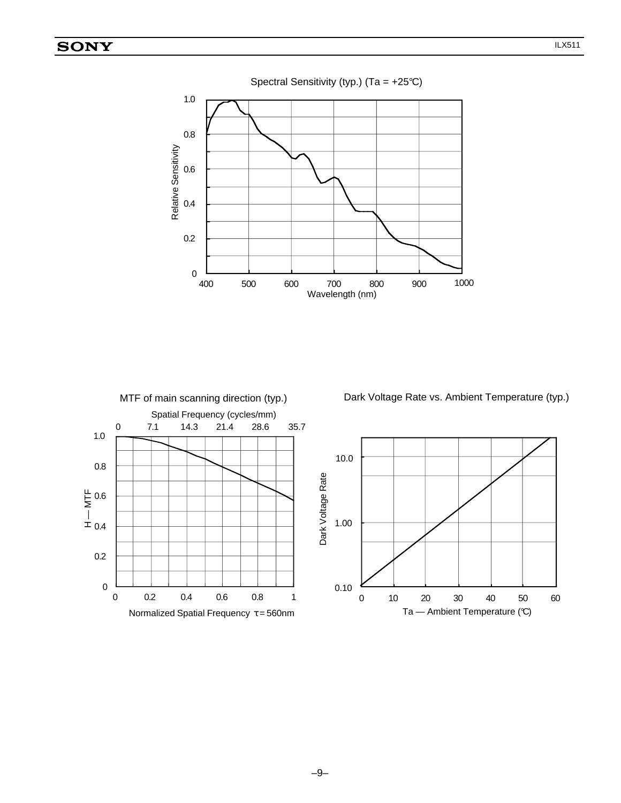



Dark Voltage Rate vs. Ambient Temperature (typ.)

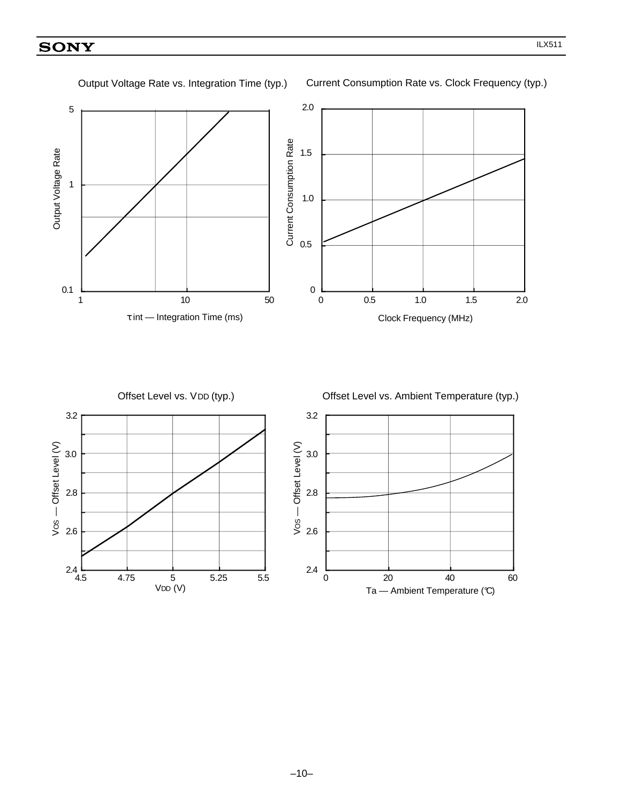2.0 5 Current Consumption Rate Current Consumption Rate Output Voltage Rate 1.5 Output Voltage Rate 1 1.0 0.5 0.1 0 1 10 50 0 0.5 1.0 1.5 2.0 τ int — Integration Time (ms) Clock Frequency (MHz) Offset Level vs. VDD (typ.) Offset Level vs. Ambient Temperature (typ.) 3.2 3.2  $Vos$  - Offset Level  $(V)$ Vos - Offset Level (V) VOS — Offset Level (V)VOS — Offset Level (V) 3.0 3.0 2.8 2.8 2.6 2.6  $2.4$  L<br>4.5 2.4 4.5 4.75 5 5.25 5.5 0 20 40 60

VDD (V)

Output Voltage Rate vs. Integration Time (typ.)

Current Consumption Rate vs. Clock Frequency (typ.)

Ta - Ambient Temperature (°C)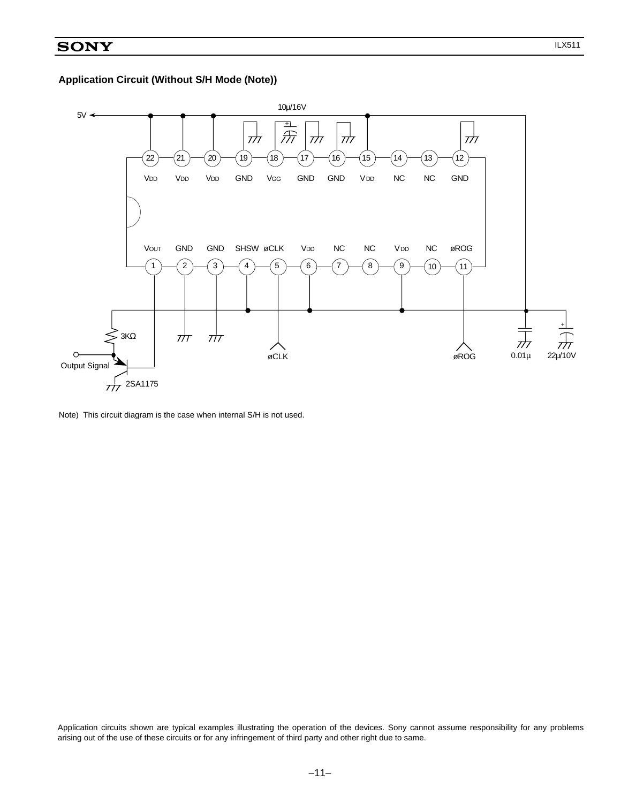

Note) This circuit diagram is the case when internal S/H is not used.

Application circuits shown are typical examples illustrating the operation of the devices. Sony cannot assume responsibility for any problems arising out of the use of these circuits or for any infringement of third party and other right due to same.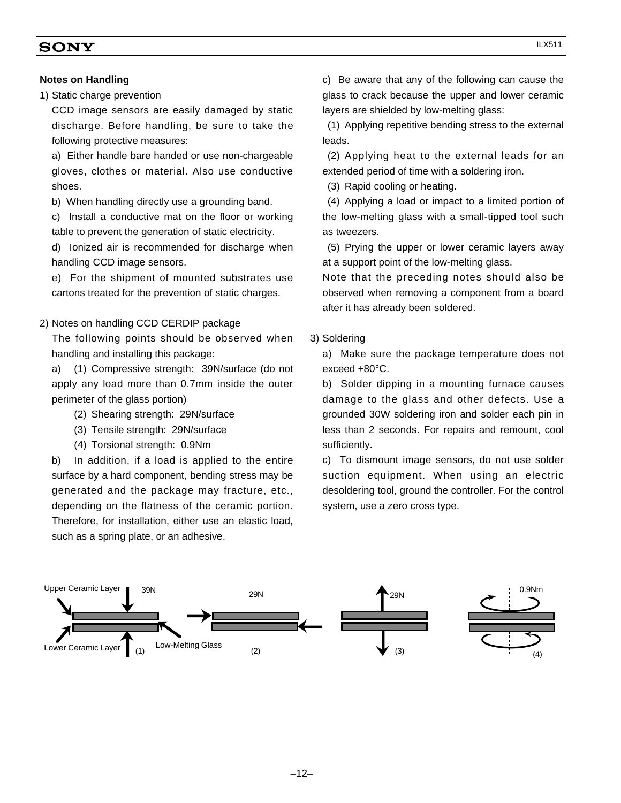#### **Notes on Handling**

1) Static charge prevention

CCD image sensors are easily damaged by static discharge. Before handling, be sure to take the following protective measures:

a) Either handle bare handed or use non-chargeable gloves, clothes or material. Also use conductive shoes.

b) When handling directly use a grounding band.

c) Install a conductive mat on the floor or working table to prevent the generation of static electricity.

d) Ionized air is recommended for discharge when handling CCD image sensors.

e) For the shipment of mounted substrates use cartons treated for the prevention of static charges.

2) Notes on handling CCD CERDIP package

The following points should be observed when handling and installing this package:

a) (1) Compressive strength: 39N/surface (do not apply any load more than 0.7mm inside the outer perimeter of the glass portion)

- (2) Shearing strength: 29N/surface
- (3) Tensile strength: 29N/surface

(4) Torsional strength: 0.9Nm

b) In addition, if a load is applied to the entire surface by a hard component, bending stress may be generated and the package may fracture, etc., depending on the flatness of the ceramic portion. Therefore, for installation, either use an elastic load, such as a spring plate, or an adhesive.

c) Be aware that any of the following can cause the glass to crack because the upper and lower ceramic layers are shielded by low-melting glass:

(1) Applying repetitive bending stress to the external leads.

(2) Applying heat to the external leads for an extended period of time with a soldering iron.

(3) Rapid cooling or heating.

(4) Applying a load or impact to a limited portion of the low-melting glass with a small-tipped tool such as tweezers.

(5) Prying the upper or lower ceramic layers away at a support point of the low-melting glass.

Note that the preceding notes should also be observed when removing a component from a board after it has already been soldered.

3) Soldering

a) Make sure the package temperature does not exceed +80°C.

b) Solder dipping in a mounting furnace causes damage to the glass and other defects. Use a grounded 30W soldering iron and solder each pin in less than 2 seconds. For repairs and remount, cool sufficiently.

c) To dismount image sensors, do not use solder suction equipment. When using an electric desoldering tool, ground the controller. For the control system, use a zero cross type.